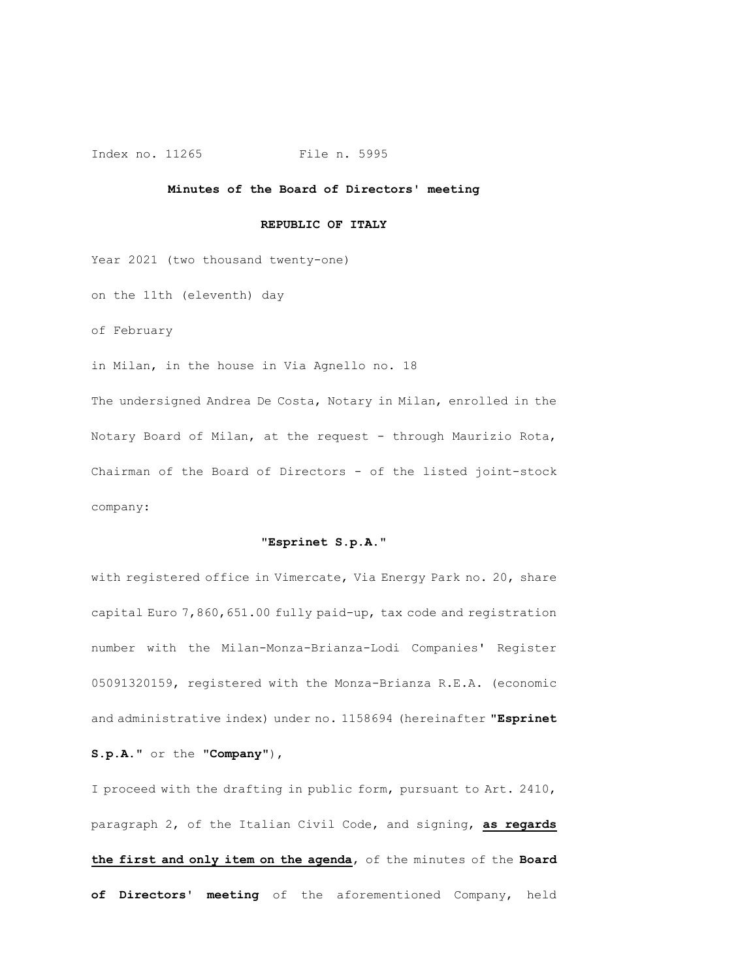#### Index no. 11265 File n. 5995

#### **Minutes of the Board of Directors' meeting**

#### **REPUBLIC OF ITALY**

Year 2021 (two thousand twenty-one)

on the 11th (eleventh) day

of February

in Milan, in the house in Via Agnello no. 18

The undersigned Andrea De Costa, Notary in Milan, enrolled in the Notary Board of Milan, at the request - through Maurizio Rota, Chairman of the Board of Directors - of the listed joint-stock company:

#### **"Esprinet S.p.A."**

with registered office in Vimercate, Via Energy Park no. 20, share capital Euro 7,860,651.00 fully paid-up, tax code and registration number with the Milan-Monza-Brianza-Lodi Companies' Register 05091320159, registered with the Monza-Brianza R.E.A. (economic and administrative index) under no. 1158694 (hereinafter "**Esprinet** 

**S.p.A**." or the "**Company**"),

I proceed with the drafting in public form, pursuant to Art. 2410, paragraph 2, of the Italian Civil Code, and signing, **as regards the first and only item on the agenda**, of the minutes of the **Board of Directors' meeting** of the aforementioned Company, held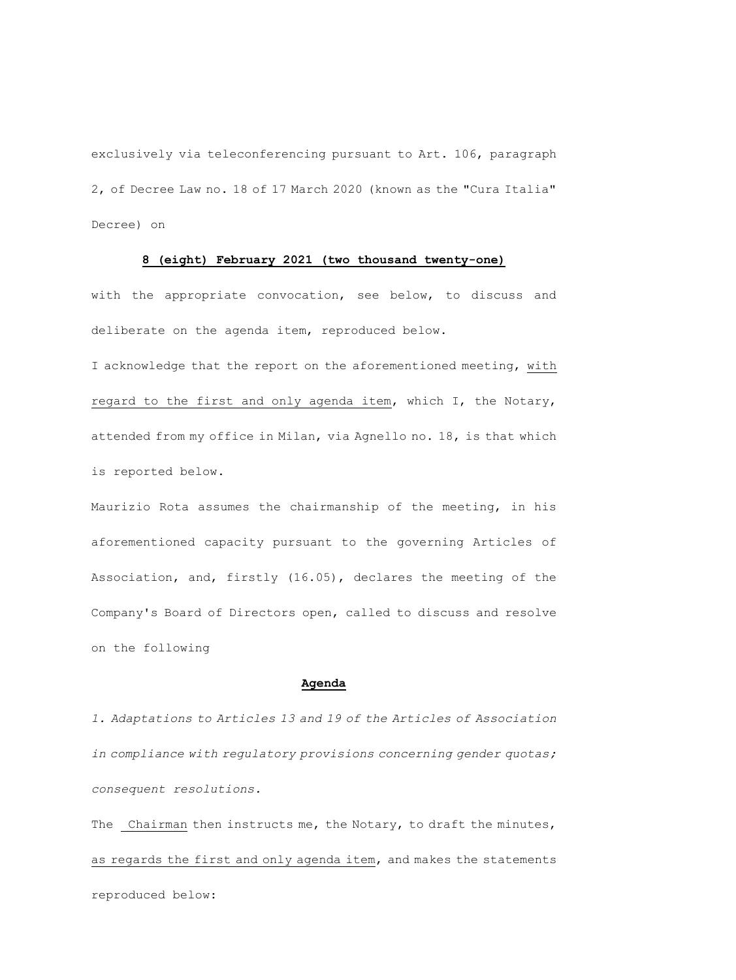exclusively via teleconferencing pursuant to Art. 106, paragraph 2, of Decree Law no. 18 of 17 March 2020 (known as the "Cura Italia" Decree) on

#### **8 (eight) February 2021 (two thousand twenty-one)**

with the appropriate convocation, see below, to discuss and deliberate on the agenda item, reproduced below.

I acknowledge that the report on the aforementioned meeting, with regard to the first and only agenda item, which I, the Notary, attended from my office in Milan, via Agnello no. 18, is that which is reported below.

Maurizio Rota assumes the chairmanship of the meeting, in his aforementioned capacity pursuant to the governing Articles of Association, and, firstly (16.05), declares the meeting of the Company's Board of Directors open, called to discuss and resolve on the following

#### **Agenda**

*1. Adaptations to Articles 13 and 19 of the Articles of Association in compliance with regulatory provisions concerning gender quotas; consequent resolutions.*

The Chairman then instructs me, the Notary, to draft the minutes, as regards the first and only agenda item, and makes the statements reproduced below: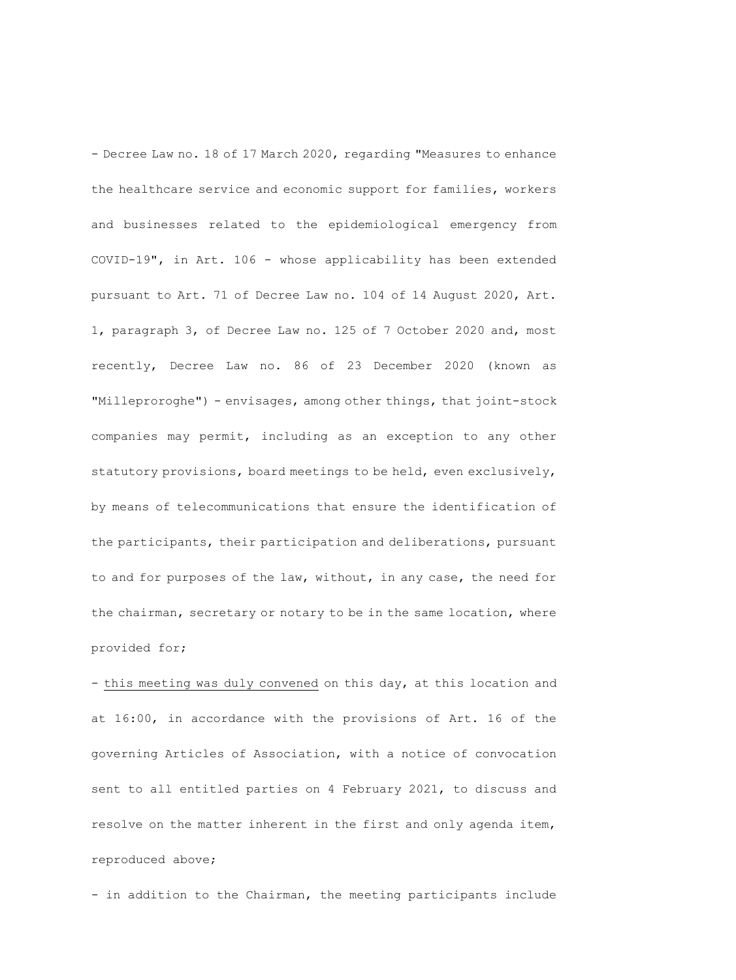- Decree Law no. 18 of 17 March 2020, regarding "Measures to enhance the healthcare service and economic support for families, workers and businesses related to the epidemiological emergency from COVID-19", in Art. 106 - whose applicability has been extended pursuant to Art. 71 of Decree Law no. 104 of 14 August 2020, Art. 1, paragraph 3, of Decree Law no. 125 of 7 October 2020 and, most recently, Decree Law no. 86 of 23 December 2020 (known as "Milleproroghe") - envisages, among other things, that joint-stock companies may permit, including as an exception to any other statutory provisions, board meetings to be held, even exclusively, by means of telecommunications that ensure the identification of the participants, their participation and deliberations, pursuant to and for purposes of the law, without, in any case, the need for the chairman, secretary or notary to be in the same location, where provided for;

- this meeting was duly convened on this day, at this location and at 16:00, in accordance with the provisions of Art. 16 of the governing Articles of Association, with a notice of convocation sent to all entitled parties on 4 February 2021, to discuss and resolve on the matter inherent in the first and only agenda item, reproduced above;

- in addition to the Chairman, the meeting participants include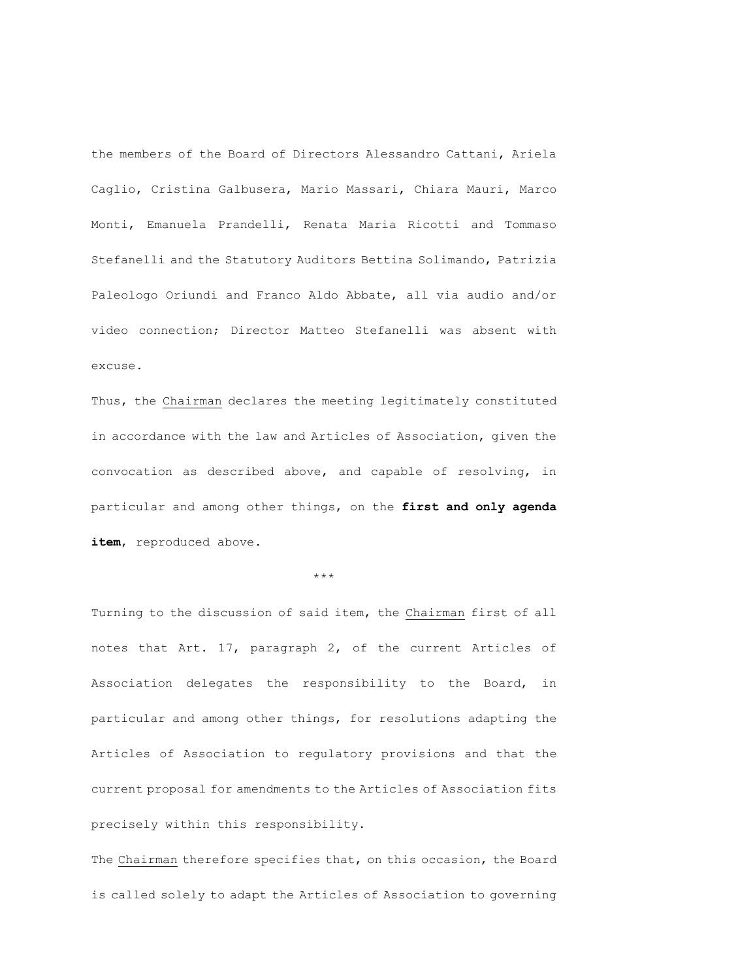the members of the Board of Directors Alessandro Cattani, Ariela Caglio, Cristina Galbusera, Mario Massari, Chiara Mauri, Marco Monti, Emanuela Prandelli, Renata Maria Ricotti and Tommaso Stefanelli and the Statutory Auditors Bettina Solimando, Patrizia Paleologo Oriundi and Franco Aldo Abbate, all via audio and/or video connection; Director Matteo Stefanelli was absent with excuse.

Thus, the Chairman declares the meeting legitimately constituted in accordance with the law and Articles of Association, given the convocation as described above, and capable of resolving, in particular and among other things, on the **first and only agenda**  item, reproduced above.

\*\*\*

Turning to the discussion of said item, the Chairman first of all notes that Art. 17, paragraph 2, of the current Articles of Association delegates the responsibility to the Board, in particular and among other things, for resolutions adapting the Articles of Association to regulatory provisions and that the current proposal for amendments to the Articles of Association fits precisely within this responsibility.

The Chairman therefore specifies that, on this occasion, the Board is called solely to adapt the Articles of Association to governing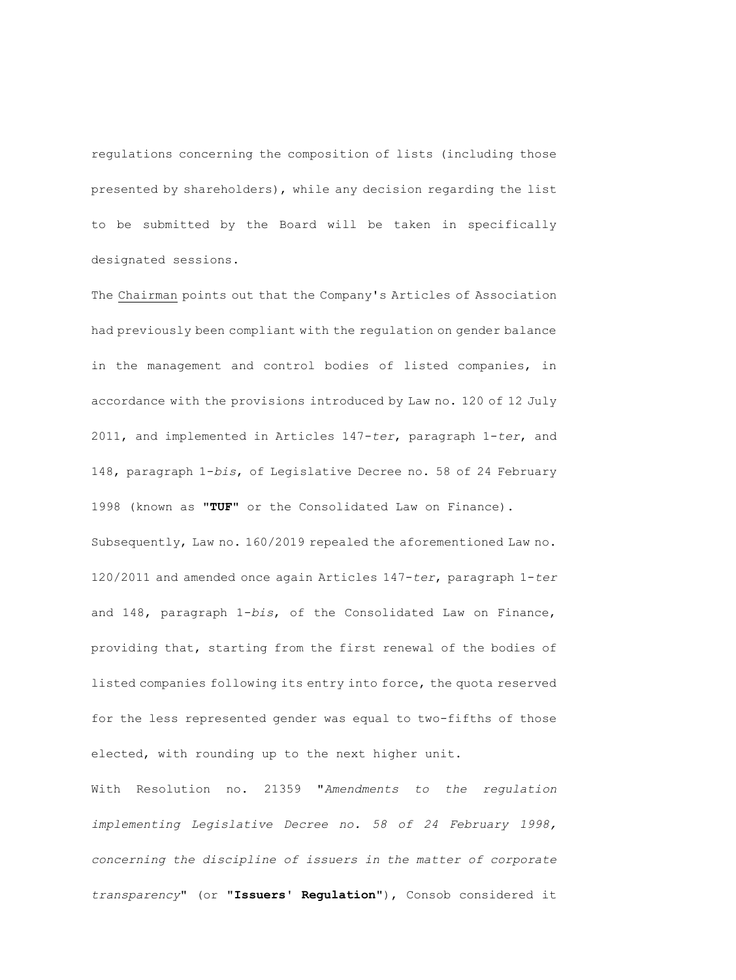regulations concerning the composition of lists (including those presented by shareholders), while any decision regarding the list to be submitted by the Board will be taken in specifically designated sessions.

The Chairman points out that the Company's Articles of Association had previously been compliant with the regulation on gender balance in the management and control bodies of listed companies, in accordance with the provisions introduced by Law no. 120 of 12 July 2011, and implemented in Articles 147-*ter*, paragraph 1-*ter*, and 148, paragraph 1-*bis*, of Legislative Decree no. 58 of 24 February 1998 (known as "**TUF**" or the Consolidated Law on Finance). Subsequently, Law no. 160/2019 repealed the aforementioned Law no. 120/2011 and amended once again Articles 147-*ter*, paragraph 1-*ter* and 148, paragraph 1-*bis*, of the Consolidated Law on Finance, providing that, starting from the first renewal of the bodies of listed companies following its entry into force, the quota reserved for the less represented gender was equal to two-fifths of those elected, with rounding up to the next higher unit.

With Resolution no. 21359 "*Amendments to the regulation implementing Legislative Decree no. 58 of 24 February 1998, concerning the discipline of issuers in the matter of corporate transparency*" (or "**Issuers' Regulation**"), Consob considered it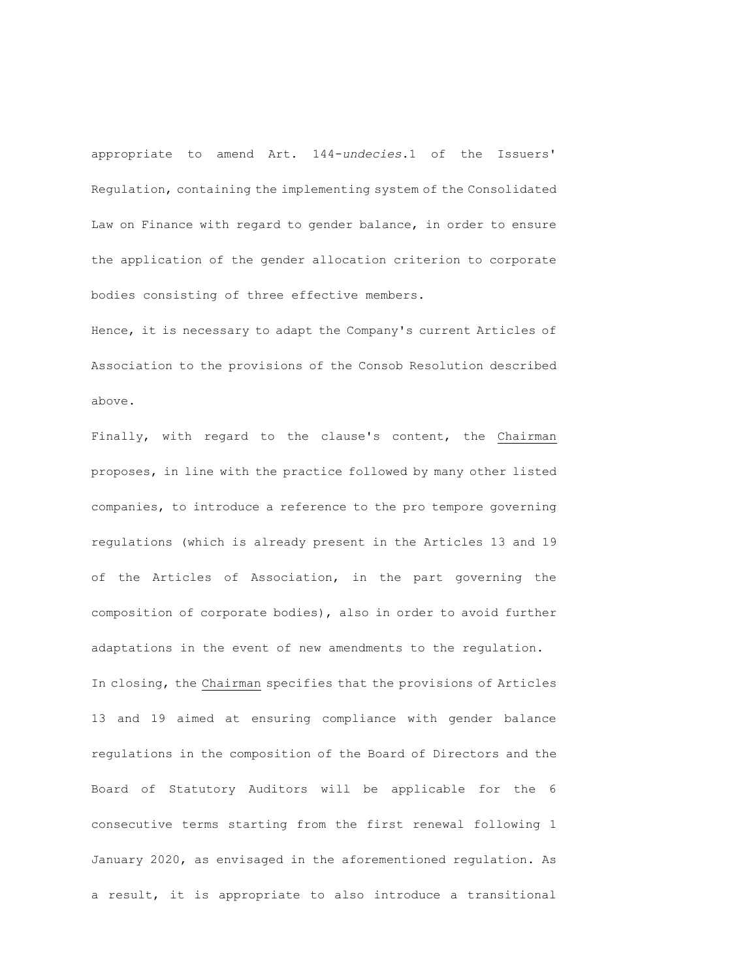appropriate to amend Art. 144-*undecies*.1 of the Issuers' Regulation, containing the implementing system of the Consolidated Law on Finance with regard to gender balance, in order to ensure the application of the gender allocation criterion to corporate bodies consisting of three effective members.

Hence, it is necessary to adapt the Company's current Articles of Association to the provisions of the Consob Resolution described above.

Finally, with regard to the clause's content, the Chairman proposes, in line with the practice followed by many other listed companies, to introduce a reference to the pro tempore governing regulations (which is already present in the Articles 13 and 19 of the Articles of Association, in the part governing the composition of corporate bodies), also in order to avoid further adaptations in the event of new amendments to the regulation. In closing, the Chairman specifies that the provisions of Articles 13 and 19 aimed at ensuring compliance with gender balance regulations in the composition of the Board of Directors and the Board of Statutory Auditors will be applicable for the 6 consecutive terms starting from the first renewal following 1 January 2020, as envisaged in the aforementioned regulation. As a result, it is appropriate to also introduce a transitional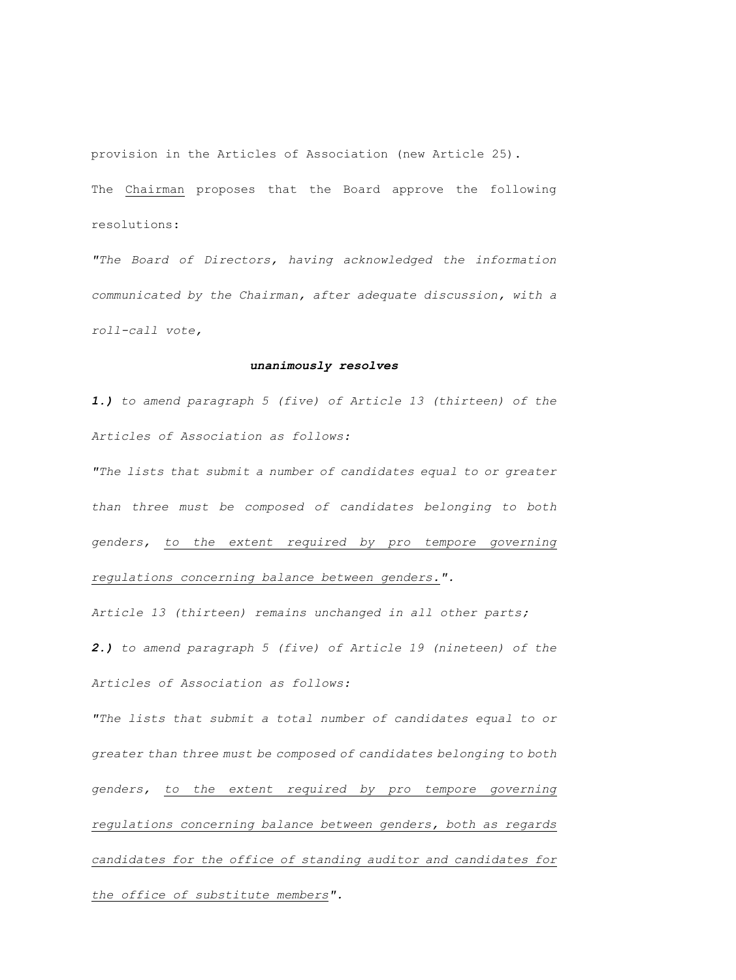provision in the Articles of Association (new Article 25). The Chairman proposes that the Board approve the following resolutions:

*"The Board of Directors, having acknowledged the information communicated by the Chairman, after adequate discussion, with a roll-call vote,*

#### *unanimously resolves*

*1.) to amend paragraph 5 (five) of Article 13 (thirteen) of the Articles of Association as follows:*

*"The lists that submit a number of candidates equal to or greater than three must be composed of candidates belonging to both genders, to the extent required by pro tempore governing regulations concerning balance between genders.".*

*Article 13 (thirteen) remains unchanged in all other parts;*

*2.) to amend paragraph 5 (five) of Article 19 (nineteen) of the Articles of Association as follows:*

*"The lists that submit a total number of candidates equal to or greater than three must be composed of candidates belonging to both genders, to the extent required by pro tempore governing regulations concerning balance between genders, both as regards candidates for the office of standing auditor and candidates for the office of substitute members".*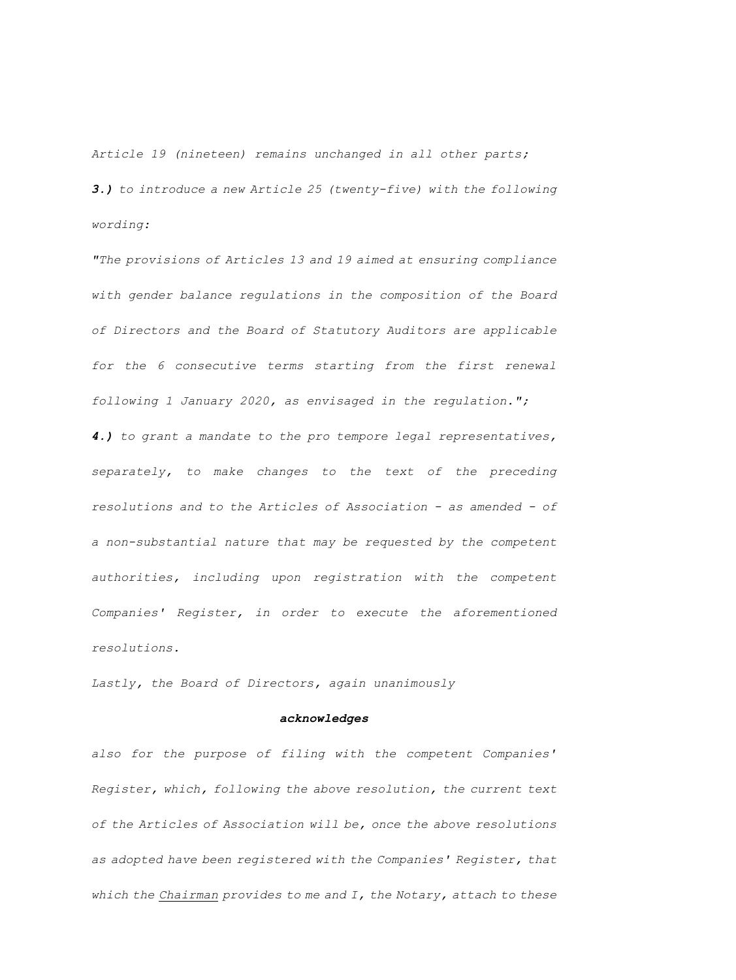*Article 19 (nineteen) remains unchanged in all other parts; 3.) to introduce a new Article 25 (twenty-five) with the following wording:*

*"The provisions of Articles 13 and 19 aimed at ensuring compliance with gender balance regulations in the composition of the Board of Directors and the Board of Statutory Auditors are applicable for the 6 consecutive terms starting from the first renewal following 1 January 2020, as envisaged in the regulation.";*

*4.) to grant a mandate to the pro tempore legal representatives, separately, to make changes to the text of the preceding resolutions and to the Articles of Association - as amended - of a non-substantial nature that may be requested by the competent authorities, including upon registration with the competent Companies' Register, in order to execute the aforementioned resolutions.*

*Lastly, the Board of Directors, again unanimously* 

#### *acknowledges*

*also for the purpose of filing with the competent Companies' Register, which, following the above resolution, the current text of the Articles of Association will be, once the above resolutions as adopted have been registered with the Companies' Register, that which the Chairman provides to me and I, the Notary, attach to these*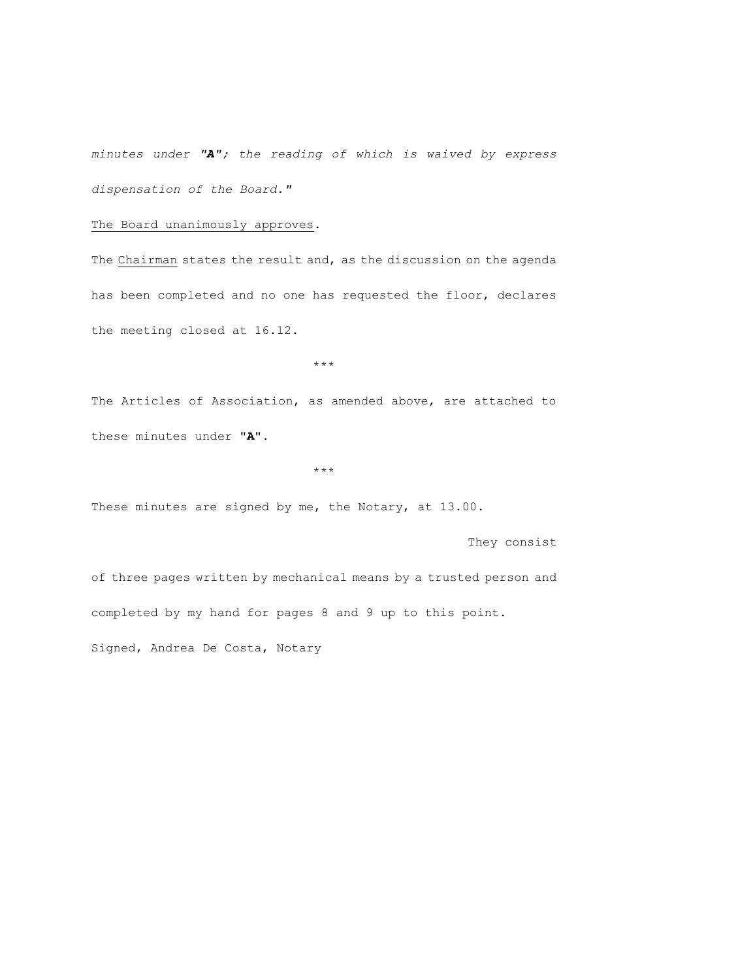*minutes under "A"; the reading of which is waived by express dispensation of the Board."*

The Board unanimously approves.

The Chairman states the result and, as the discussion on the agenda has been completed and no one has requested the floor, declares the meeting closed at 16.12.

\*\*\*

The Articles of Association, as amended above, are attached to these minutes under "**A".**

\*\*\*

These minutes are signed by me, the Notary, at 13.00.

They consist

of three pages written by mechanical means by a trusted person and completed by my hand for pages 8 and 9 up to this point.

Signed, Andrea De Costa, Notary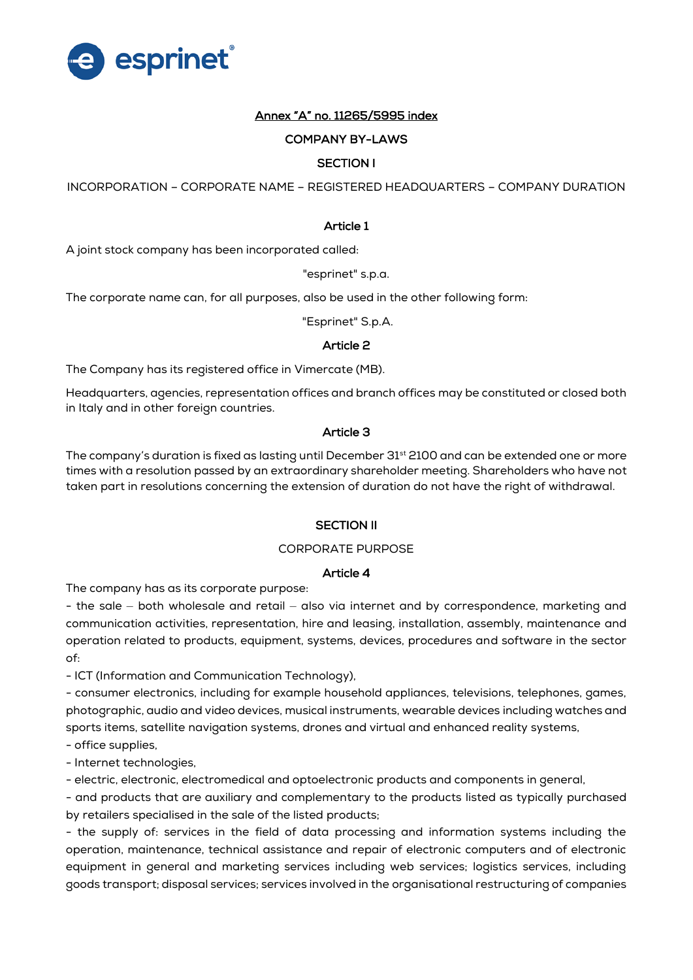

# Annex "A" no. 11265/5995 index

## COMPANY BY-LAWS

# SECTION I

INCORPORATION – CORPORATE NAME – REGISTERED HEADQUARTERS – COMPANY DURATION

### Article 1

A joint stock company has been incorporated called:

"esprinet" s.p.a.

The corporate name can, for all purposes, also be used in the other following form:

"Esprinet" S.p.A.

#### Article 2

The Company has its registered office in Vimercate (MB).

Headquarters, agencies, representation offices and branch offices may be constituted or closed both in Italy and in other foreign countries.

#### Article 3

The company's duration is fixed as lasting until December 31<sup>st</sup> 2100 and can be extended one or more times with a resolution passed by an extraordinary shareholder meeting. Shareholders who have not taken part in resolutions concerning the extension of duration do not have the right of withdrawal.

#### SECTION II

#### CORPORATE PURPOSE

## Article 4

The company has as its corporate purpose:

- the sale – both wholesale and retail – also via internet and by correspondence, marketing and communication activities, representation, hire and leasing, installation, assembly, maintenance and operation related to products, equipment, systems, devices, procedures and software in the sector of:

- ICT (Information and Communication Technology),

- consumer electronics, including for example household appliances, televisions, telephones, games, photographic, audio and video devices, musical instruments, wearable devices including watches and sports items, satellite navigation systems, drones and virtual and enhanced reality systems,

- office supplies,

- Internet technologies,

- electric, electronic, electromedical and optoelectronic products and components in general,

- and products that are auxiliary and complementary to the products listed as typically purchased by retailers specialised in the sale of the listed products;

- the supply of: services in the field of data processing and information systems including the operation, maintenance, technical assistance and repair of electronic computers and of electronic equipment in general and marketing services including web services; logistics services, including goods transport; disposal services; services involved in the organisational restructuring of companies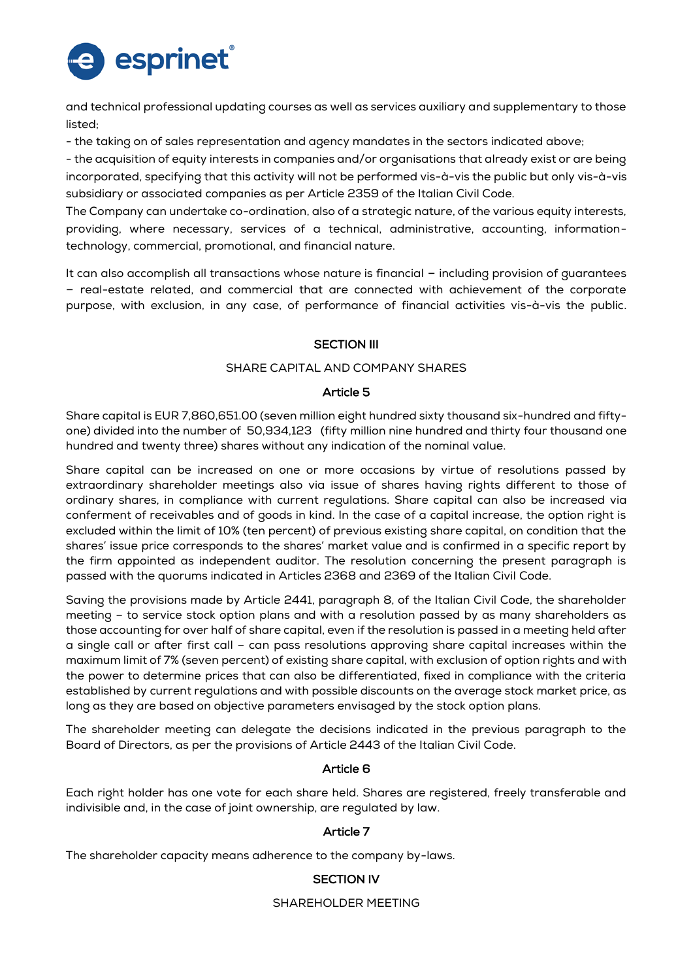

and technical professional updating courses as well as services auxiliary and supplementary to those listed;

- the taking on of sales representation and agency mandates in the sectors indicated above;

- the acquisition of equity interests in companies and/or organisations that already exist or are being incorporated, specifying that this activity will not be performed vis-à-vis the public but only vis-à-vis subsidiary or associated companies as per Article 2359 of the Italian Civil Code.

The Company can undertake co-ordination, also of a strategic nature, of the various equity interests, providing, where necessary, services of a technical, administrative, accounting, informationtechnology, commercial, promotional, and financial nature.

It can also accomplish all transactions whose nature is financial – including provision of guarantees – real-estate related, and commercial that are connected with achievement of the corporate purpose, with exclusion, in any case, of performance of financial activities vis-à-vis the public.

# **SECTION III**

## SHARE CAPITAL AND COMPANY SHARES

## Article 5

Share capital is EUR 7,860,651.00 (seven million eight hundred sixty thousand six-hundred and fiftyone) divided into the number of 50,934,123 (fifty million nine hundred and thirty four thousand one hundred and twenty three) shares without any indication of the nominal value.

Share capital can be increased on one or more occasions by virtue of resolutions passed by extraordinary shareholder meetings also via issue of shares having rights different to those of ordinary shares, in compliance with current regulations. Share capital can also be increased via conferment of receivables and of goods in kind. In the case of a capital increase, the option right is excluded within the limit of 10% (ten percent) of previous existing share capital, on condition that the shares' issue price corresponds to the shares' market value and is confirmed in a specific report by the firm appointed as independent auditor. The resolution concerning the present paragraph is passed with the quorums indicated in Articles 2368 and 2369 of the Italian Civil Code.

Saving the provisions made by Article 2441, paragraph 8, of the Italian Civil Code, the shareholder meeting – to service stock option plans and with a resolution passed by as many shareholders as those accounting for over half of share capital, even if the resolution is passed in a meeting held after a single call or after first call – can pass resolutions approving share capital increases within the maximum limit of 7% (seven percent) of existing share capital, with exclusion of option rights and with the power to determine prices that can also be differentiated, fixed in compliance with the criteria established by current regulations and with possible discounts on the average stock market price, as long as they are based on objective parameters envisaged by the stock option plans.

The shareholder meeting can delegate the decisions indicated in the previous paragraph to the Board of Directors, as per the provisions of Article 2443 of the Italian Civil Code.

## Article 6

Each right holder has one vote for each share held. Shares are registered, freely transferable and indivisible and, in the case of joint ownership, are regulated by law.

## Article 7

The shareholder capacity means adherence to the company by-laws.

# SECTION IV

SHAREHOLDER MEETING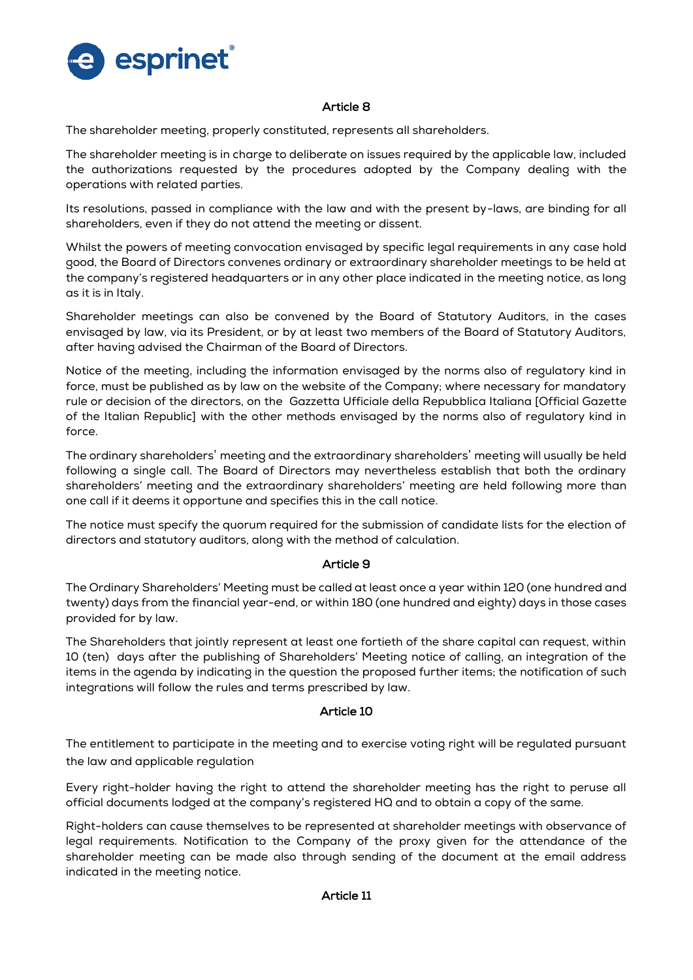

## Article 8

The shareholder meeting, properly constituted, represents all shareholders.

The shareholder meeting is in charge to deliberate on issues required by the applicable law, included the authorizations requested by the procedures adopted by the Company dealing with the operations with related parties.

Its resolutions, passed in compliance with the law and with the present by-laws, are binding for all shareholders, even if they do not attend the meeting or dissent.

Whilst the powers of meeting convocation envisaged by specific legal requirements in any case hold good, the Board of Directors convenes ordinary or extraordinary shareholder meetings to be held at the company's registered headquarters or in any other place indicated in the meeting notice, as long as it is in Italy.

Shareholder meetings can also be convened by the Board of Statutory Auditors, in the cases envisaged by law, via its President, or by at least two members of the Board of Statutory Auditors, after having advised the Chairman of the Board of Directors.

Notice of the meeting, including the information envisaged by the norms also of regulatory kind in force, must be published as by law on the website of the Company; where necessary for mandatory rule or decision of the directors, on the Gazzetta Ufficiale della Repubblica Italiana [Official Gazette of the Italian Republic] with the other methods envisaged by the norms also of regulatory kind in force.

The ordinary shareholders' meeting and the extraordinary shareholders' meeting will usually be held following a single call. The Board of Directors may nevertheless establish that both the ordinary shareholders' meeting and the extraordinary shareholders' meeting are held following more than one call if it deems it opportune and specifies this in the call notice.

The notice must specify the quorum required for the submission of candidate lists for the election of directors and statutory auditors, along with the method of calculation.

## Article 9

The Ordinary Shareholders' Meeting must be called at least once a year within 120 (one hundred and twenty) days from the financial year-end, or within 180 (one hundred and eighty) days in those cases provided for by law.

The Shareholders that jointly represent at least one fortieth of the share capital can request, within 10 (ten) days after the publishing of Shareholders' Meeting notice of calling, an integration of the items in the agenda by indicating in the question the proposed further items; the notification of such integrations will follow the rules and terms prescribed by law.

## Article 10

The entitlement to participate in the meeting and to exercise voting right will be regulated pursuant the law and applicable regulation

Every right-holder having the right to attend the shareholder meeting has the right to peruse all official documents lodged at the company's registered HQ and to obtain a copy of the same.

Right-holders can cause themselves to be represented at shareholder meetings with observance of legal requirements. Notification to the Company of the proxy given for the attendance of the shareholder meeting can be made also through sending of the document at the email address indicated in the meeting notice.

## Article 11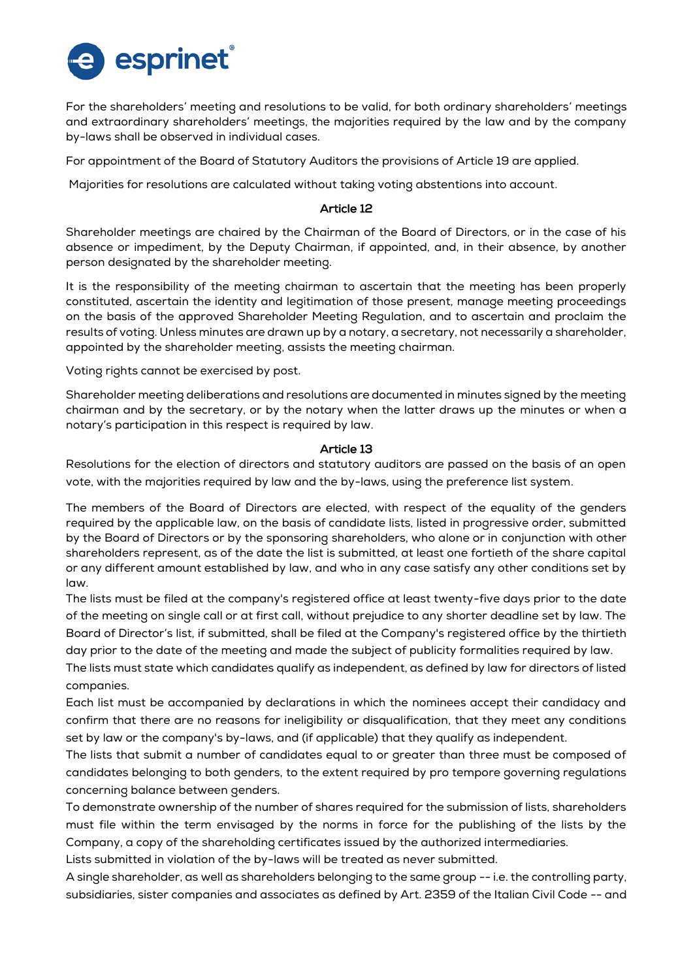

For the shareholders' meeting and resolutions to be valid, for both ordinary shareholders' meetings and extraordinary shareholders' meetings, the majorities required by the law and by the company by-laws shall be observed in individual cases.

For appointment of the Board of Statutory Auditors the provisions of Article 19 are applied.

Majorities for resolutions are calculated without taking voting abstentions into account.

## Article 12

Shareholder meetings are chaired by the Chairman of the Board of Directors, or in the case of his absence or impediment, by the Deputy Chairman, if appointed, and, in their absence, by another person designated by the shareholder meeting.

It is the responsibility of the meeting chairman to ascertain that the meeting has been properly constituted, ascertain the identity and legitimation of those present, manage meeting proceedings on the basis of the approved Shareholder Meeting Regulation, and to ascertain and proclaim the results of voting. Unless minutes are drawn up by a notary, a secretary, not necessarily a shareholder, appointed by the shareholder meeting, assists the meeting chairman.

Voting rights cannot be exercised by post.

Shareholder meeting deliberations and resolutions are documented in minutes signed by the meeting chairman and by the secretary, or by the notary when the latter draws up the minutes or when a notary's participation in this respect is required by law.

## Article 13

Resolutions for the election of directors and statutory auditors are passed on the basis of an open vote, with the majorities required by law and the by-laws, using the preference list system.

The members of the Board of Directors are elected, with respect of the equality of the genders required by the applicable law, on the basis of candidate lists, listed in progressive order, submitted by the Board of Directors or by the sponsoring shareholders, who alone or in conjunction with other shareholders represent, as of the date the list is submitted, at least one fortieth of the share capital or any different amount established by law, and who in any case satisfy any other conditions set by law.

The lists must be filed at the company's registered office at least twenty-five days prior to the date of the meeting on single call or at first call, without prejudice to any shorter deadline set by law. The Board of Director's list, if submitted, shall be filed at the Company's registered office by the thirtieth day prior to the date of the meeting and made the subject of publicity formalities required by law.

The lists must state which candidates qualify as independent, as defined by law for directors of listed companies.

Each list must be accompanied by declarations in which the nominees accept their candidacy and confirm that there are no reasons for ineligibility or disqualification, that they meet any conditions set by law or the company's by-laws, and (if applicable) that they qualify as independent.

The lists that submit a number of candidates equal to or greater than three must be composed of candidates belonging to both genders, to the extent required by pro tempore governing regulations concerning balance between genders.

To demonstrate ownership of the number of shares required for the submission of lists, shareholders must file within the term envisaged by the norms in force for the publishing of the lists by the Company, a copy of the shareholding certificates issued by the authorized intermediaries.

Lists submitted in violation of the by-laws will be treated as never submitted.

A single shareholder, as well as shareholders belonging to the same group -- i.e. the controlling party, subsidiaries, sister companies and associates as defined by Art. 2359 of the Italian Civil Code -- and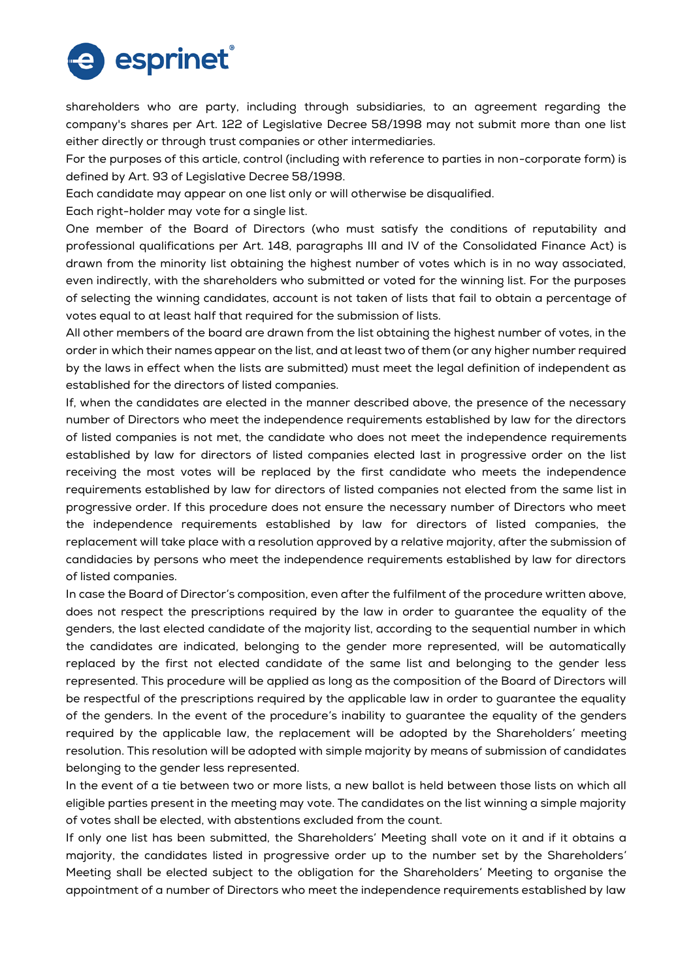

shareholders who are party, including through subsidiaries, to an agreement regarding the company's shares per Art. 122 of Legislative Decree 58/1998 may not submit more than one list either directly or through trust companies or other intermediaries.

For the purposes of this article, control (including with reference to parties in non-corporate form) is defined by Art. 93 of Legislative Decree 58/1998.

Each candidate may appear on one list only or will otherwise be disqualified.

Each right-holder may vote for a single list.

One member of the Board of Directors (who must satisfy the conditions of reputability and professional qualifications per Art. 148, paragraphs III and IV of the Consolidated Finance Act) is drawn from the minority list obtaining the highest number of votes which is in no way associated, even indirectly, with the shareholders who submitted or voted for the winning list. For the purposes of selecting the winning candidates, account is not taken of lists that fail to obtain a percentage of votes equal to at least half that required for the submission of lists.

All other members of the board are drawn from the list obtaining the highest number of votes, in the order in which their names appear on the list, and at least two of them (or any higher number required by the laws in effect when the lists are submitted) must meet the legal definition of independent as established for the directors of listed companies.

If, when the candidates are elected in the manner described above, the presence of the necessary number of Directors who meet the independence requirements established by law for the directors of listed companies is not met, the candidate who does not meet the independence requirements established by law for directors of listed companies elected last in progressive order on the list receiving the most votes will be replaced by the first candidate who meets the independence requirements established by law for directors of listed companies not elected from the same list in progressive order. If this procedure does not ensure the necessary number of Directors who meet the independence requirements established by law for directors of listed companies, the replacement will take place with a resolution approved by a relative majority, after the submission of candidacies by persons who meet the independence requirements established by law for directors of listed companies.

In case the Board of Director's composition, even after the fulfilment of the procedure written above, does not respect the prescriptions required by the law in order to guarantee the equality of the genders, the last elected candidate of the majority list, according to the sequential number in which the candidates are indicated, belonging to the gender more represented, will be automatically replaced by the first not elected candidate of the same list and belonging to the gender less represented. This procedure will be applied as long as the composition of the Board of Directors will be respectful of the prescriptions required by the applicable law in order to guarantee the equality of the genders. In the event of the procedure's inability to guarantee the equality of the genders required by the applicable law, the replacement will be adopted by the Shareholders' meeting resolution. This resolution will be adopted with simple majority by means of submission of candidates belonging to the gender less represented.

In the event of a tie between two or more lists, a new ballot is held between those lists on which all eligible parties present in the meeting may vote. The candidates on the list winning a simple majority of votes shall be elected, with abstentions excluded from the count.

If only one list has been submitted, the Shareholders' Meeting shall vote on it and if it obtains a majority, the candidates listed in progressive order up to the number set by the Shareholders' Meeting shall be elected subject to the obligation for the Shareholders' Meeting to organise the appointment of a number of Directors who meet the independence requirements established by law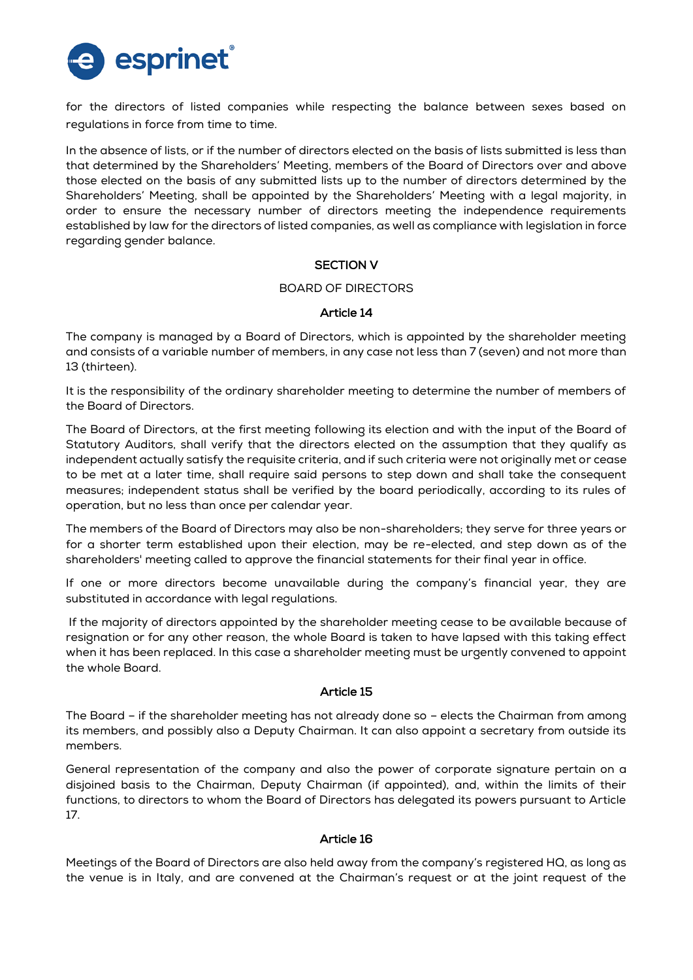

for the directors of listed companies while respecting the balance between sexes based on regulations in force from time to time.

In the absence of lists, or if the number of directors elected on the basis of lists submitted is less than that determined by the Shareholders' Meeting, members of the Board of Directors over and above those elected on the basis of any submitted lists up to the number of directors determined by the Shareholders' Meeting, shall be appointed by the Shareholders' Meeting with a legal majority, in order to ensure the necessary number of directors meeting the independence requirements established by law for the directors of listed companies, as well as compliance with legislation in force regarding gender balance.

## SECTION V

#### BOARD OF DIRECTORS

## Article 14

The company is managed by a Board of Directors, which is appointed by the shareholder meeting and consists of a variable number of members, in any case not less than 7 (seven) and not more than 13 (thirteen).

It is the responsibility of the ordinary shareholder meeting to determine the number of members of the Board of Directors.

The Board of Directors, at the first meeting following its election and with the input of the Board of Statutory Auditors, shall verify that the directors elected on the assumption that they qualify as independent actually satisfy the requisite criteria, and if such criteria were not originally met or cease to be met at a later time, shall require said persons to step down and shall take the consequent measures; independent status shall be verified by the board periodically, according to its rules of operation, but no less than once per calendar year.

The members of the Board of Directors may also be non-shareholders; they serve for three years or for a shorter term established upon their election, may be re-elected, and step down as of the shareholders' meeting called to approve the financial statements for their final year in office.

If one or more directors become unavailable during the company's financial year, they are substituted in accordance with legal regulations.

If the majority of directors appointed by the shareholder meeting cease to be available because of resignation or for any other reason, the whole Board is taken to have lapsed with this taking effect when it has been replaced. In this case a shareholder meeting must be urgently convened to appoint the whole Board.

## Article 15

The Board – if the shareholder meeting has not already done so – elects the Chairman from among its members, and possibly also a Deputy Chairman. It can also appoint a secretary from outside its members.

General representation of the company and also the power of corporate signature pertain on a disjoined basis to the Chairman, Deputy Chairman (if appointed), and, within the limits of their functions, to directors to whom the Board of Directors has delegated its powers pursuant to Article 17.

#### Article 16

Meetings of the Board of Directors are also held away from the company's registered HQ, as long as the venue is in Italy, and are convened at the Chairman's request or at the joint request of the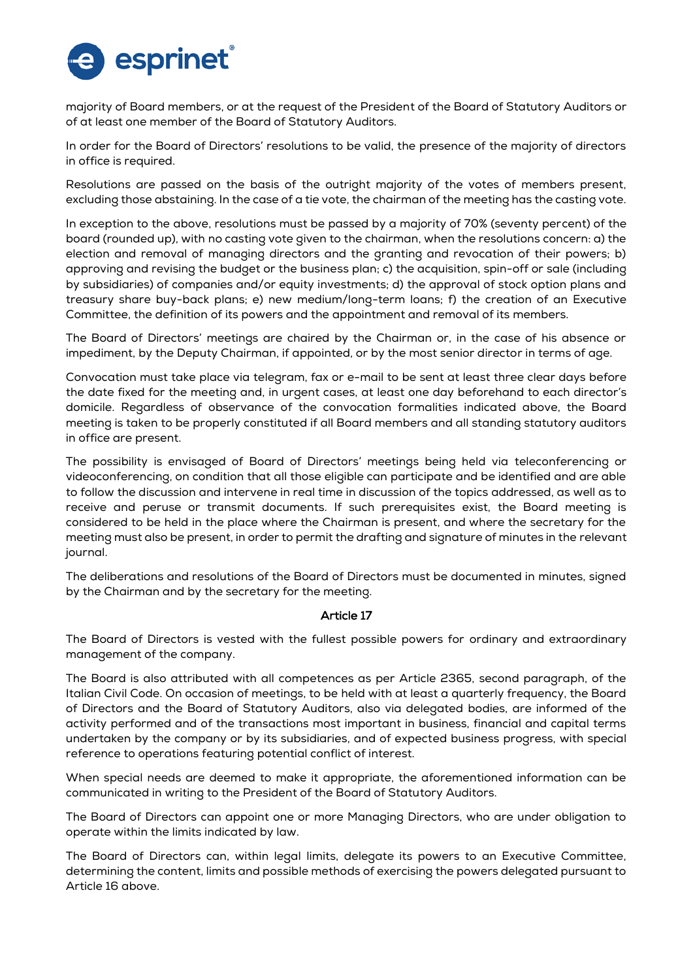

majority of Board members, or at the request of the President of the Board of Statutory Auditors or of at least one member of the Board of Statutory Auditors.

In order for the Board of Directors' resolutions to be valid, the presence of the majority of directors in office is required.

Resolutions are passed on the basis of the outright majority of the votes of members present, excluding those abstaining. In the case of a tie vote, the chairman of the meeting has the casting vote.

In exception to the above, resolutions must be passed by a majority of 70% (seventy percent) of the board (rounded up), with no casting vote given to the chairman, when the resolutions concern: a) the election and removal of managing directors and the granting and revocation of their powers; b) approving and revising the budget or the business plan; c) the acquisition, spin-off or sale (including by subsidiaries) of companies and/or equity investments; d) the approval of stock option plans and treasury share buy-back plans; e) new medium/long-term loans; f) the creation of an Executive Committee, the definition of its powers and the appointment and removal of its members.

The Board of Directors' meetings are chaired by the Chairman or, in the case of his absence or impediment, by the Deputy Chairman, if appointed, or by the most senior director in terms of age.

Convocation must take place via telegram, fax or e-mail to be sent at least three clear days before the date fixed for the meeting and, in urgent cases, at least one day beforehand to each director's domicile. Regardless of observance of the convocation formalities indicated above, the Board meeting is taken to be properly constituted if all Board members and all standing statutory auditors in office are present.

The possibility is envisaged of Board of Directors' meetings being held via teleconferencing or videoconferencing, on condition that all those eligible can participate and be identified and are able to follow the discussion and intervene in real time in discussion of the topics addressed, as well as to receive and peruse or transmit documents. If such prerequisites exist, the Board meeting is considered to be held in the place where the Chairman is present, and where the secretary for the meeting must also be present, in order to permit the drafting and signature of minutes in the relevant journal.

The deliberations and resolutions of the Board of Directors must be documented in minutes, signed by the Chairman and by the secretary for the meeting.

## Article 17

The Board of Directors is vested with the fullest possible powers for ordinary and extraordinary management of the company.

The Board is also attributed with all competences as per Article 2365, second paragraph, of the Italian Civil Code. On occasion of meetings, to be held with at least a quarterly frequency, the Board of Directors and the Board of Statutory Auditors, also via delegated bodies, are informed of the activity performed and of the transactions most important in business, financial and capital terms undertaken by the company or by its subsidiaries, and of expected business progress, with special reference to operations featuring potential conflict of interest.

When special needs are deemed to make it appropriate, the aforementioned information can be communicated in writing to the President of the Board of Statutory Auditors.

The Board of Directors can appoint one or more Managing Directors, who are under obligation to operate within the limits indicated by law.

The Board of Directors can, within legal limits, delegate its powers to an Executive Committee, determining the content, limits and possible methods of exercising the powers delegated pursuant to Article 16 above.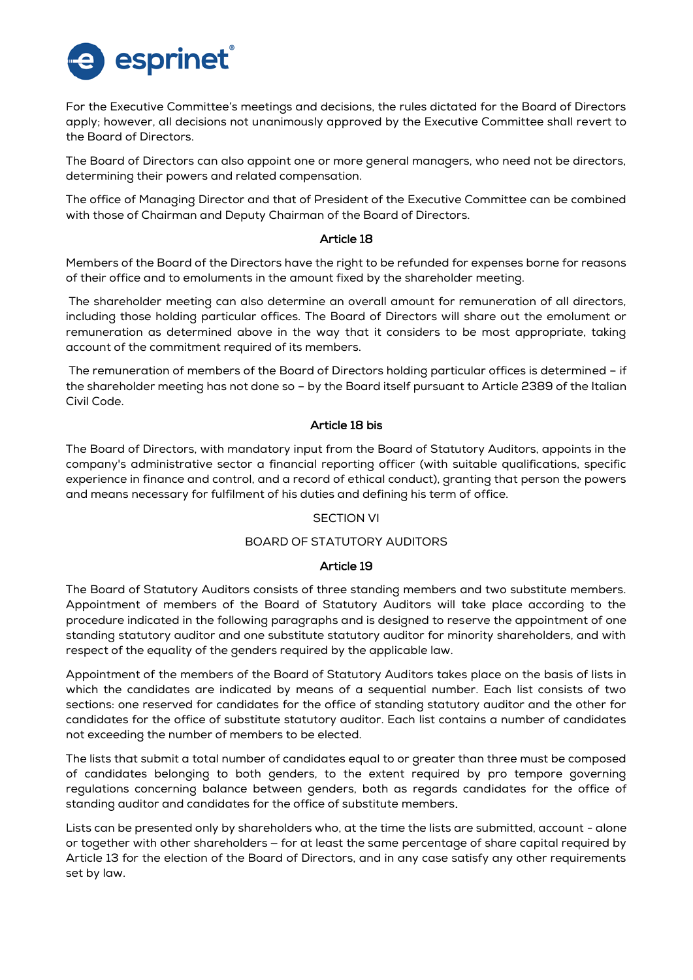

For the Executive Committee's meetings and decisions, the rules dictated for the Board of Directors apply; however, all decisions not unanimously approved by the Executive Committee shall revert to the Board of Directors.

The Board of Directors can also appoint one or more general managers, who need not be directors, determining their powers and related compensation.

The office of Managing Director and that of President of the Executive Committee can be combined with those of Chairman and Deputy Chairman of the Board of Directors.

## Article 18

Members of the Board of the Directors have the right to be refunded for expenses borne for reasons of their office and to emoluments in the amount fixed by the shareholder meeting.

The shareholder meeting can also determine an overall amount for remuneration of all directors, including those holding particular offices. The Board of Directors will share out the emolument or remuneration as determined above in the way that it considers to be most appropriate, taking account of the commitment required of its members.

The remuneration of members of the Board of Directors holding particular offices is determined – if the shareholder meeting has not done so – by the Board itself pursuant to Article 2389 of the Italian Civil Code.

## Article 18 bis

The Board of Directors, with mandatory input from the Board of Statutory Auditors, appoints in the company's administrative sector a financial reporting officer (with suitable qualifications, specific experience in finance and control, and a record of ethical conduct), granting that person the powers and means necessary for fulfilment of his duties and defining his term of office.

## SECTION VI

## BOARD OF STATUTORY AUDITORS

## Article 19

The Board of Statutory Auditors consists of three standing members and two substitute members. Appointment of members of the Board of Statutory Auditors will take place according to the procedure indicated in the following paragraphs and is designed to reserve the appointment of one standing statutory auditor and one substitute statutory auditor for minority shareholders, and with respect of the equality of the genders required by the applicable law.

Appointment of the members of the Board of Statutory Auditors takes place on the basis of lists in which the candidates are indicated by means of a sequential number. Each list consists of two sections: one reserved for candidates for the office of standing statutory auditor and the other for candidates for the office of substitute statutory auditor. Each list contains a number of candidates not exceeding the number of members to be elected.

The lists that submit a total number of candidates equal to or greater than three must be composed of candidates belonging to both genders, to the extent required by pro tempore governing regulations concerning balance between genders, both as regards candidates for the office of standing auditor and candidates for the office of substitute members.

Lists can be presented only by shareholders who, at the time the lists are submitted, account - alone or together with other shareholders – for at least the same percentage of share capital required by Article 13 for the election of the Board of Directors, and in any case satisfy any other requirements set by law.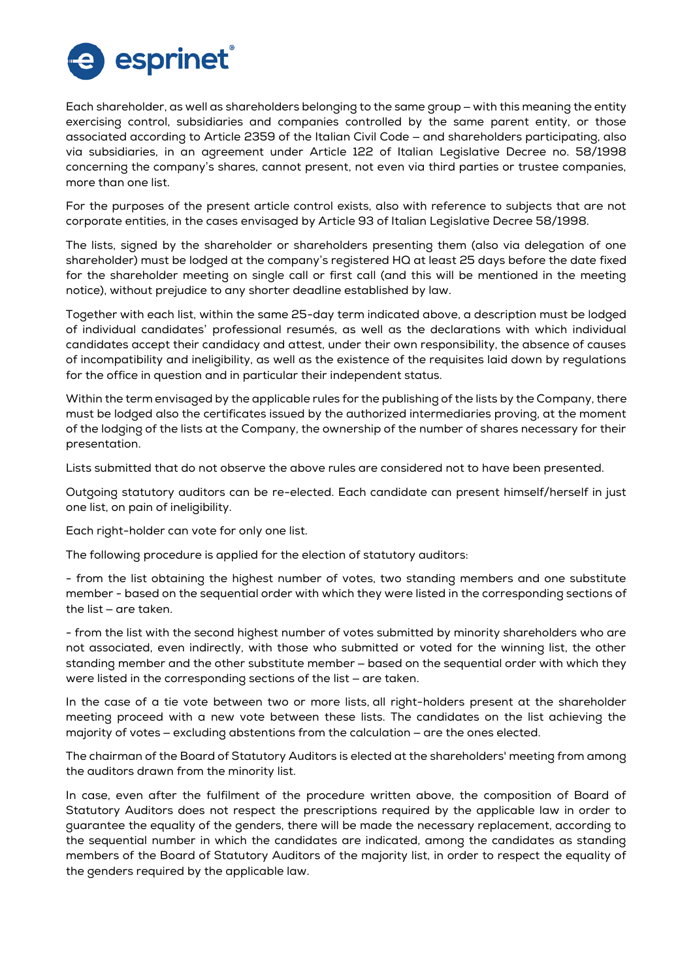

Each shareholder, as well as shareholders belonging to the same group – with this meaning the entity exercising control, subsidiaries and companies controlled by the same parent entity, or those associated according to Article 2359 of the Italian Civil Code – and shareholders participating, also via subsidiaries, in an agreement under Article 122 of Italian Legislative Decree no. 58/1998 concerning the company's shares, cannot present, not even via third parties or trustee companies, more than one list.

For the purposes of the present article control exists, also with reference to subjects that are not corporate entities, in the cases envisaged by Article 93 of Italian Legislative Decree 58/1998.

The lists, signed by the shareholder or shareholders presenting them (also via delegation of one shareholder) must be lodged at the company's registered HQ at least 25 days before the date fixed for the shareholder meeting on single call or first call (and this will be mentioned in the meeting notice), without prejudice to any shorter deadline established by law.

Together with each list, within the same 25-day term indicated above, a description must be lodged of individual candidates' professional resumés, as well as the declarations with which individual candidates accept their candidacy and attest, under their own responsibility, the absence of causes of incompatibility and ineligibility, as well as the existence of the requisites laid down by regulations for the office in question and in particular their independent status.

Within the term envisaged by the applicable rules for the publishing of the lists by the Company, there must be lodged also the certificates issued by the authorized intermediaries proving, at the moment of the lodging of the lists at the Company, the ownership of the number of shares necessary for their presentation.

Lists submitted that do not observe the above rules are considered not to have been presented.

Outgoing statutory auditors can be re-elected. Each candidate can present himself/herself in just one list, on pain of ineligibility.

Each right-holder can vote for only one list.

The following procedure is applied for the election of statutory auditors:

- from the list obtaining the highest number of votes, two standing members and one substitute member - based on the sequential order with which they were listed in the corresponding sections of the list – are taken.

- from the list with the second highest number of votes submitted by minority shareholders who are not associated, even indirectly, with those who submitted or voted for the winning list, the other standing member and the other substitute member – based on the sequential order with which they were listed in the corresponding sections of the list – are taken.

In the case of a tie vote between two or more lists, all right-holders present at the shareholder meeting proceed with a new vote between these lists. The candidates on the list achieving the majority of votes – excluding abstentions from the calculation – are the ones elected.

The chairman of the Board of Statutory Auditors is elected at the shareholders' meeting from among the auditors drawn from the minority list.

In case, even after the fulfilment of the procedure written above, the composition of Board of Statutory Auditors does not respect the prescriptions required by the applicable law in order to guarantee the equality of the genders, there will be made the necessary replacement, according to the sequential number in which the candidates are indicated, among the candidates as standing members of the Board of Statutory Auditors of the majority list, in order to respect the equality of the genders required by the applicable law.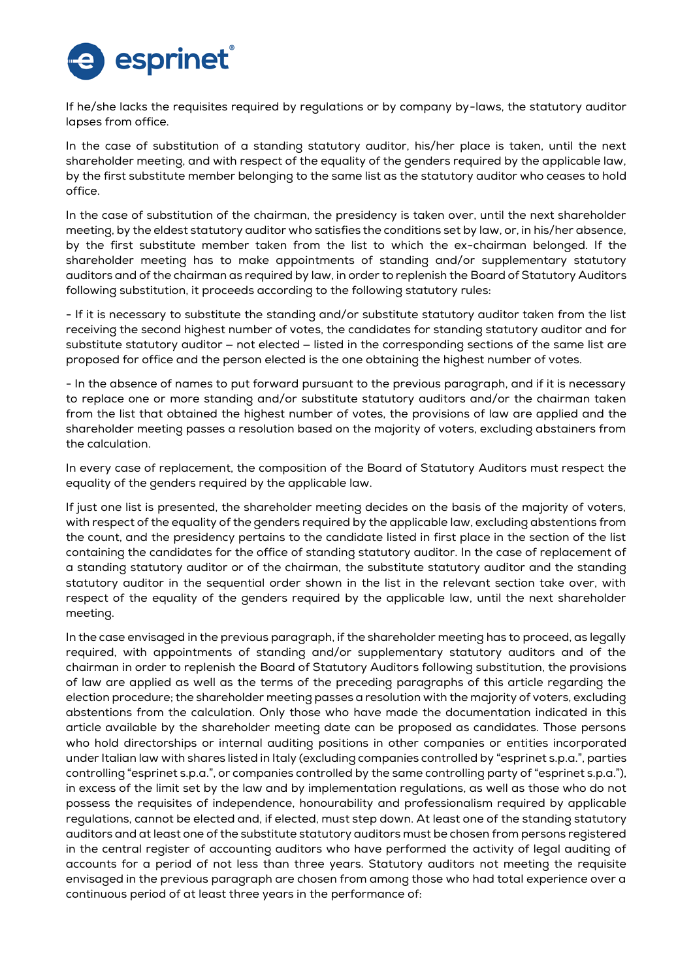

If he/she lacks the requisites required by regulations or by company by-laws, the statutory auditor lapses from office.

In the case of substitution of a standing statutory auditor, his/her place is taken, until the next shareholder meeting, and with respect of the equality of the genders required by the applicable law, by the first substitute member belonging to the same list as the statutory auditor who ceases to hold office.

In the case of substitution of the chairman, the presidency is taken over, until the next shareholder meeting, by the eldest statutory auditor who satisfies the conditions set by law, or, in his/her absence, by the first substitute member taken from the list to which the ex-chairman belonged. If the shareholder meeting has to make appointments of standing and/or supplementary statutory auditors and of the chairman as required by law, in order to replenish the Board of Statutory Auditors following substitution, it proceeds according to the following statutory rules:

- If it is necessary to substitute the standing and/or substitute statutory auditor taken from the list receiving the second highest number of votes, the candidates for standing statutory auditor and for substitute statutory auditor – not elected – listed in the corresponding sections of the same list are proposed for office and the person elected is the one obtaining the highest number of votes.

- In the absence of names to put forward pursuant to the previous paragraph, and if it is necessary to replace one or more standing and/or substitute statutory auditors and/or the chairman taken from the list that obtained the highest number of votes, the provisions of law are applied and the shareholder meeting passes a resolution based on the majority of voters, excluding abstainers from the calculation.

In every case of replacement, the composition of the Board of Statutory Auditors must respect the equality of the genders required by the applicable law.

If just one list is presented, the shareholder meeting decides on the basis of the majority of voters, with respect of the equality of the genders required by the applicable law, excluding abstentions from the count, and the presidency pertains to the candidate listed in first place in the section of the list containing the candidates for the office of standing statutory auditor. In the case of replacement of a standing statutory auditor or of the chairman, the substitute statutory auditor and the standing statutory auditor in the sequential order shown in the list in the relevant section take over, with respect of the equality of the genders required by the applicable law, until the next shareholder meeting.

In the case envisaged in the previous paragraph, if the shareholder meeting has to proceed, as legally required, with appointments of standing and/or supplementary statutory auditors and of the chairman in order to replenish the Board of Statutory Auditors following substitution, the provisions of law are applied as well as the terms of the preceding paragraphs of this article regarding the election procedure; the shareholder meeting passes a resolution with the majority of voters, excluding abstentions from the calculation. Only those who have made the documentation indicated in this article available by the shareholder meeting date can be proposed as candidates. Those persons who hold directorships or internal auditing positions in other companies or entities incorporated under Italian law with shares listed in Italy (excluding companies controlled by "esprinet s.p.a.", parties controlling "esprinet s.p.a.", or companies controlled by the same controlling party of "esprinet s.p.a."), in excess of the limit set by the law and by implementation regulations, as well as those who do not possess the requisites of independence, honourability and professionalism required by applicable regulations, cannot be elected and, if elected, must step down. At least one of the standing statutory auditors and at least one of the substitute statutory auditors must be chosen from persons registered in the central register of accounting auditors who have performed the activity of legal auditing of accounts for a period of not less than three years. Statutory auditors not meeting the requisite envisaged in the previous paragraph are chosen from among those who had total experience over a continuous period of at least three years in the performance of: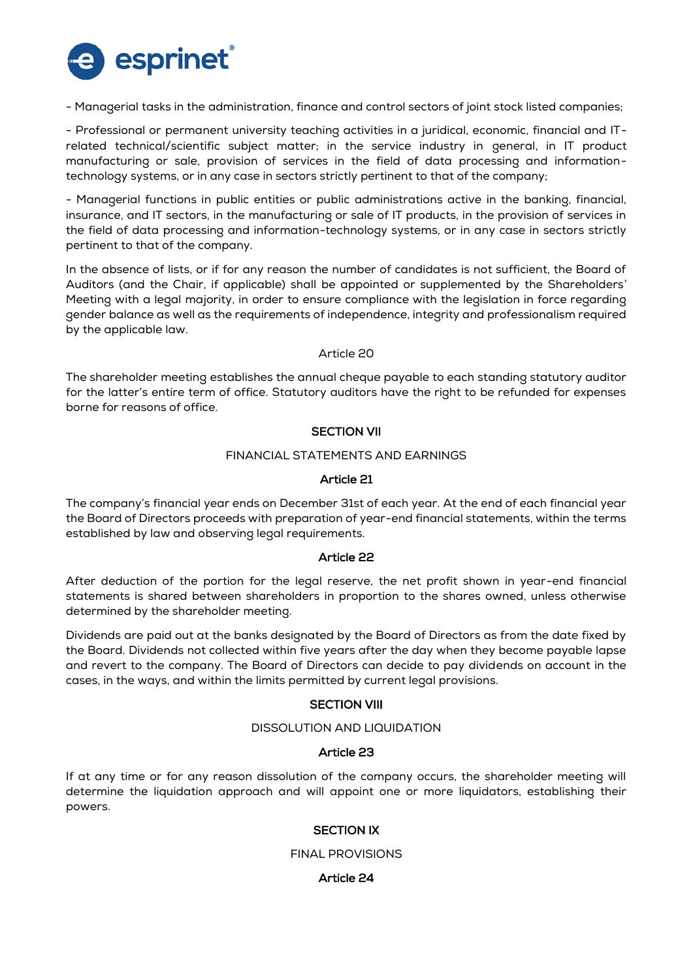

- Managerial tasks in the administration, finance and control sectors of joint stock listed companies;

- Professional or permanent university teaching activities in a juridical, economic, financial and ITrelated technical/scientific subject matter; in the service industry in general, in IT product manufacturing or sale, provision of services in the field of data processing and informationtechnology systems, or in any case in sectors strictly pertinent to that of the company;

- Managerial functions in public entities or public administrations active in the banking, financial, insurance, and IT sectors, in the manufacturing or sale of IT products, in the provision of services in the field of data processing and information-technology systems, or in any case in sectors strictly pertinent to that of the company.

In the absence of lists, or if for any reason the number of candidates is not sufficient, the Board of Auditors (and the Chair, if applicable) shall be appointed or supplemented by the Shareholders' Meeting with a legal majority, in order to ensure compliance with the legislation in force regarding gender balance as well as the requirements of independence, integrity and professionalism required by the applicable law.

Article 20

The shareholder meeting establishes the annual cheque payable to each standing statutory auditor for the latter's entire term of office. Statutory auditors have the right to be refunded for expenses borne for reasons of office.

# SECTION VII

## FINANCIAL STATEMENTS AND EARNINGS

## Article 21

The company's financial year ends on December 31st of each year. At the end of each financial year the Board of Directors proceeds with preparation of year-end financial statements, within the terms established by law and observing legal requirements.

## Article 22

After deduction of the portion for the legal reserve, the net profit shown in year-end financial statements is shared between shareholders in proportion to the shares owned, unless otherwise determined by the shareholder meeting.

Dividends are paid out at the banks designated by the Board of Directors as from the date fixed by the Board. Dividends not collected within five years after the day when they become payable lapse and revert to the company. The Board of Directors can decide to pay dividends on account in the cases, in the ways, and within the limits permitted by current legal provisions.

## **SECTION VIII**

## DISSOLUTION AND LIQUIDATION

## Article 23

If at any time or for any reason dissolution of the company occurs, the shareholder meeting will determine the liquidation approach and will appoint one or more liquidators, establishing their powers.

## SECTION IX

#### FINAL PROVISIONS

## Article 24